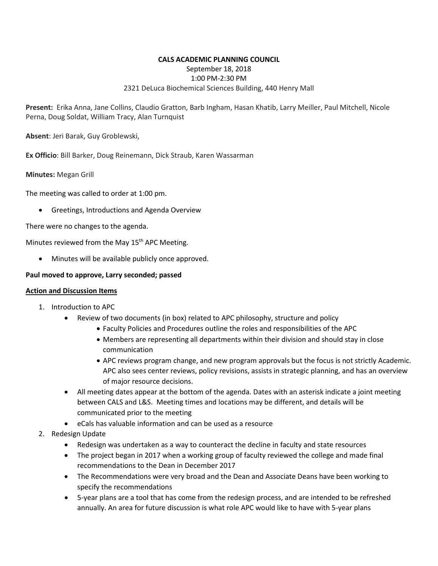## **CALS ACADEMIC PLANNING COUNCIL** September 18, 2018 1:00 PM-2:30 PM 2321 DeLuca Biochemical Sciences Building, 440 Henry Mall

**Present:** Erika Anna, Jane Collins, Claudio Gratton, Barb Ingham, Hasan Khatib, Larry Meiller, Paul Mitchell, Nicole Perna, Doug Soldat, William Tracy, Alan Turnquist

**Absent**: Jeri Barak, Guy Groblewski,

**Ex Officio**: Bill Barker, Doug Reinemann, Dick Straub, Karen Wassarman

**Minutes:** Megan Grill

The meeting was called to order at 1:00 pm.

• Greetings, Introductions and Agenda Overview

There were no changes to the agenda.

Minutes reviewed from the May 15<sup>th</sup> APC Meeting.

• Minutes will be available publicly once approved.

## **Paul moved to approve, Larry seconded; passed**

## **Action and Discussion Items**

- 1. Introduction to APC
	- Review of two documents (in box) related to APC philosophy, structure and policy
		- Faculty Policies and Procedures outline the roles and responsibilities of the APC
		- Members are representing all departments within their division and should stay in close communication
		- APC reviews program change, and new program approvals but the focus is not strictly Academic. APC also sees center reviews, policy revisions, assists in strategic planning, and has an overview of major resource decisions.
	- All meeting dates appear at the bottom of the agenda. Dates with an asterisk indicate a joint meeting between CALS and L&S. Meeting times and locations may be different, and details will be communicated prior to the meeting
	- eCals has valuable information and can be used as a resource
- 2. Redesign Update
	- Redesign was undertaken as a way to counteract the decline in faculty and state resources
	- The project began in 2017 when a working group of faculty reviewed the college and made final recommendations to the Dean in December 2017
	- The Recommendations were very broad and the Dean and Associate Deans have been working to specify the recommendations
	- 5-year plans are a tool that has come from the redesign process, and are intended to be refreshed annually. An area for future discussion is what role APC would like to have with 5-year plans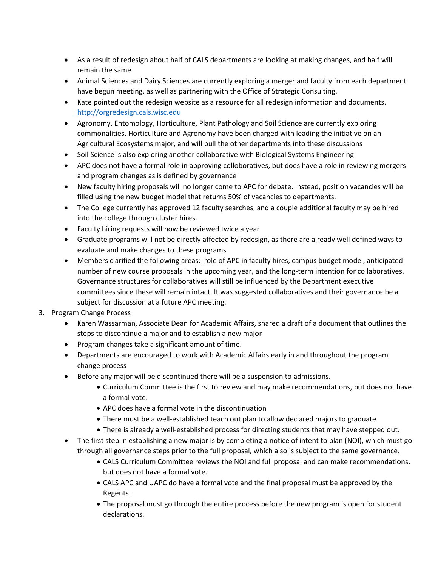- As a result of redesign about half of CALS departments are looking at making changes, and half will remain the same
- Animal Sciences and Dairy Sciences are currently exploring a merger and faculty from each department have begun meeting, as well as partnering with the Office of Strategic Consulting.
- Kate pointed out the redesign website as a resource for all redesign information and documents. [http://orgredesign.cals.wisc.edu](http://orgredesign.cals.wisc.edu/)
- Agronomy, Entomology, Horticulture, Plant Pathology and Soil Science are currently exploring commonalities. Horticulture and Agronomy have been charged with leading the initiative on an Agricultural Ecosystems major, and will pull the other departments into these discussions
- Soil Science is also exploring another collaborative with Biological Systems Engineering
- APC does not have a formal role in approving colloboratives, but does have a role in reviewing mergers and program changes as is defined by governance
- New faculty hiring proposals will no longer come to APC for debate. Instead, position vacancies will be filled using the new budget model that returns 50% of vacancies to departments.
- The College currently has approved 12 faculty searches, and a couple additional faculty may be hired into the college through cluster hires.
- Faculty hiring requests will now be reviewed twice a year
- Graduate programs will not be directly affected by redesign, as there are already well defined ways to evaluate and make changes to these programs
- Members clarified the following areas: role of APC in faculty hires, campus budget model, anticipated number of new course proposals in the upcoming year, and the long-term intention for collaboratives. Governance structures for collaboratives will still be influenced by the Department executive committees since these will remain intact. It was suggested collaboratives and their governance be a subject for discussion at a future APC meeting.
- 3. Program Change Process
	- Karen Wassarman, Associate Dean for Academic Affairs, shared a draft of a document that outlines the steps to discontinue a major and to establish a new major
	- Program changes take a significant amount of time.
	- Departments are encouraged to work with Academic Affairs early in and throughout the program change process
	- Before any major will be discontinued there will be a suspension to admissions.
		- Curriculum Committee is the first to review and may make recommendations, but does not have a formal vote.
		- APC does have a formal vote in the discontinuation
		- There must be a well-established teach out plan to allow declared majors to graduate
		- There is already a well-established process for directing students that may have stepped out.
	- The first step in establishing a new major is by completing a notice of intent to plan (NOI), which must go through all governance steps prior to the full proposal, which also is subject to the same governance.
		- CALS Curriculum Committee reviews the NOI and full proposal and can make recommendations, but does not have a formal vote.
		- CALS APC and UAPC do have a formal vote and the final proposal must be approved by the Regents.
		- The proposal must go through the entire process before the new program is open for student declarations.